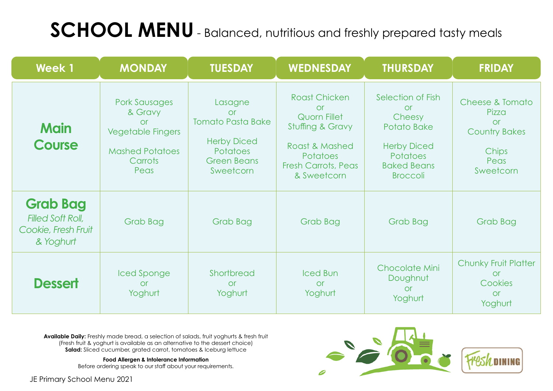JE Primary School Menu 2021



## **SCHOOL MENU** - Balanced, nutritious and freshly prepared tasty meals

**Available Daily:** Freshly made bread, a selection of salads, fruit yoghurts & fresh fruit (Fresh fruit & yoghurt is available as an alternative to the dessert choice) **Salad:** Sliced cucumber, grated carrot, tomatoes & Iceburg lettuce

| <b>Week 1</b>                                                                   | <b>MONDAY</b>                                                                                                                | <b>TUESDAY</b>                                                                                                               | <b>WEDNESDAY</b>                                                                                                                                               | THURSDAY                                                                                                                                         | <b>FRIDAY</b>                                                                                          |
|---------------------------------------------------------------------------------|------------------------------------------------------------------------------------------------------------------------------|------------------------------------------------------------------------------------------------------------------------------|----------------------------------------------------------------------------------------------------------------------------------------------------------------|--------------------------------------------------------------------------------------------------------------------------------------------------|--------------------------------------------------------------------------------------------------------|
| <b>Main</b><br><b>Course</b>                                                    | <b>Pork Sausages</b><br>& Gravy<br><b>or</b><br><b>Vegetable Fingers</b><br><b>Mashed Potatoes</b><br><b>Carrots</b><br>Peas | Lasagne<br><b>or</b><br><b>Tomato Pasta Bake</b><br><b>Herby Diced</b><br><b>Potatoes</b><br><b>Green Beans</b><br>Sweetcorn | <b>Roast Chicken</b><br><b>or</b><br><b>Quorn Fillet</b><br>Stuffing & Gravy<br>Roast & Mashed<br><b>Potatoes</b><br><b>Fresh Carrots, Peas</b><br>& Sweetcorn | Selection of Fish<br><b>Or</b><br>Cheesy<br><b>Potato Bake</b><br><b>Herby Diced</b><br><b>Potatoes</b><br><b>Baked Beans</b><br><b>Broccoli</b> | <b>Cheese &amp; Tomato</b><br>Pizza<br><b>or</b><br><b>Country Bakes</b><br>Chips<br>Peas<br>Sweetcorn |
| <b>Grab Bag</b><br><b>Filled Soft Roll,</b><br>Cookie, Fresh Fruit<br>& Yoghurt | Grab Bag                                                                                                                     | Grab Bag                                                                                                                     | <b>Grab Bag</b>                                                                                                                                                | Grab Bag                                                                                                                                         | <b>Grab Bag</b>                                                                                        |
| <b>Dessert</b>                                                                  | Iced Sponge<br><b>or</b><br>Yoghurt                                                                                          | Shortbread<br>or<br>Yoghurt                                                                                                  | <b>Iced Bun</b><br><b>or</b><br>Yoghurt                                                                                                                        | <b>Chocolate Mini</b><br>Doughnut<br><b>or</b><br>Yoghurt                                                                                        | <b>Chunky Fruit Platter</b><br>or<br>Cookies<br><b>or</b><br>Yoghurt                                   |

**Food Allergen & Intolerance Information**

Before ordering speak to our staff about your requirements.

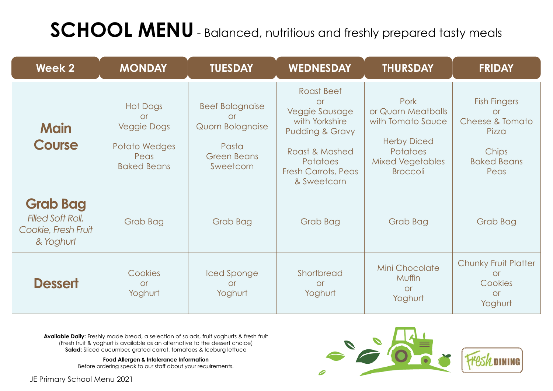## **SCHOOL MENU** - Balanced, nutritious and freshly prepared tasty meals

JE Primary School Menu 2021



**Available Daily:** Freshly made bread, a selection of salads, fruit yoghurts & fresh fruit (Fresh fruit & yoghurt is available as an alternative to the dessert choice) **Salad:** Sliced cucumber, grated carrot, tomatoes & Iceburg lettuce

| <b>Week 2</b>                                                                   | <b>MONDAY</b>                                                                                     | <b>TUESDAY</b>                                                                                             | <b>WEDNESDAY</b>                                                                                                                                                                          | <b>THURSDAY</b>                                                                                                                        | <b>FRIDAY</b>                                                                                       |
|---------------------------------------------------------------------------------|---------------------------------------------------------------------------------------------------|------------------------------------------------------------------------------------------------------------|-------------------------------------------------------------------------------------------------------------------------------------------------------------------------------------------|----------------------------------------------------------------------------------------------------------------------------------------|-----------------------------------------------------------------------------------------------------|
| <b>Main</b><br><b>Course</b>                                                    | <b>Hot Dogs</b><br><b>or</b><br><b>Veggie Dogs</b><br>Potato Wedges<br>Peas<br><b>Baked Beans</b> | <b>Beef Bolognaise</b><br><b>Or</b><br><b>Quorn Bolognaise</b><br>Pasta<br><b>Green Beans</b><br>Sweetcorn | <b>Roast Beef</b><br><b>or</b><br><b>Veggie Sausage</b><br>with Yorkshire<br><b>Pudding &amp; Gravy</b><br>Roast & Mashed<br><b>Potatoes</b><br><b>Fresh Carrots, Peas</b><br>& Sweetcorn | Pork<br>or Quorn Meatballs<br>with Tomato Sauce<br><b>Herby Diced</b><br><b>Potatoes</b><br><b>Mixed Vegetables</b><br><b>Broccoli</b> | <b>Fish Fingers</b><br><b>or</b><br>Cheese & Tomato<br>Pizza<br>Chips<br><b>Baked Beans</b><br>Peas |
| <b>Grab Bag</b><br><b>Filled Soft Roll,</b><br>Cookie, Fresh Fruit<br>& Yoghurt | <b>Grab Bag</b>                                                                                   | <b>Grab Bag</b>                                                                                            | <b>Grab Bag</b>                                                                                                                                                                           | <b>Grab Bag</b>                                                                                                                        | <b>Grab Bag</b>                                                                                     |
| <b>Dessert</b>                                                                  | Cookies<br><b>or</b><br>Yoghurt                                                                   | Iced Sponge<br><b>Or</b><br>Yoghurt                                                                        | Shortbread<br><b>or</b><br>Yoghurt                                                                                                                                                        | <b>Mini Chocolate</b><br>Muffin<br><b>or</b><br>Yoghurt                                                                                | <b>Chunky Fruit Platter</b><br><b>or</b><br>Cookies<br><b>or</b><br>Yoghurt                         |

**Food Allergen & Intolerance Information**

Before ordering speak to our staff about your requirements.